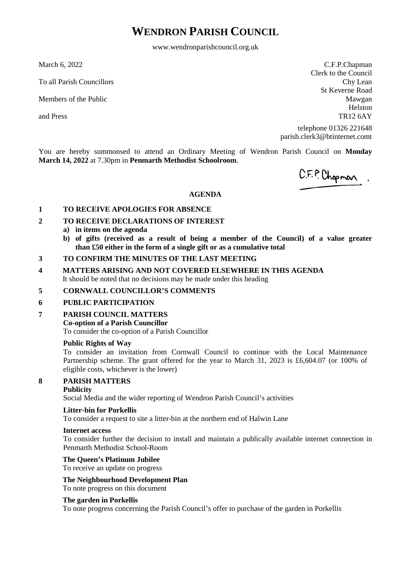# **WENDRON PARISH COUNCIL**

www.wendronparishcouncil.org.uk

March 6, 2022

To all Parish Councillors

Members of the Public

and Press

C.F.P.Chapman Clerk to the Council Chy Lean St Keverne Road Mawgan Helston TR12 6AY

telephone 01326 221648 parish.clerk3@btinternet.comt

You are hereby summonsed to attend an Ordinary Meeting of Wendron Parish Council on **Monday March 14, 2022** at 7.30pm in **Penmarth Methodist Schoolroom**.

C.F.P. Chopman.

#### **AGENDA**

#### **1 TO RECEIVE APOLOGIES FOR ABSENCE**

## **2 TO RECEIVE DECLARATIONS OF INTEREST**

- **a) in items on the agenda**
- **b) of gifts (received as a result of being a member of the Council) of a value greater than £50 either in the form of a single gift or as a cumulative total**

#### **3 TO CONFIRM THE MINUTES OF THE LAST MEETING**

## **4 MATTERS ARISING AND NOT COVERED ELSEWHERE IN THIS AGENDA** It should be noted that no decisions may be made under this heading

#### **5 CORNWALL COUNCILLOR'S COMMENTS**

#### **6 PUBLIC PARTICIPATION**

#### **7 PARISH COUNCIL MATTERS**

#### **Co-option of a Parish Councillor**

To consider the co-option of a Parish Councillor

#### **Public Rights of Way**

To consider an invitation from Cornwall Council to continue with the Local Maintenance Partnership scheme. The grant offered for the year to March 31, 2023 is £6,604.07 (or 100% of eligible costs, whichever is the lower)

## **8 PARISH MATTERS**

#### **Publicity**

Social Media and the wider reporting of Wendron Parish Council's activities

#### **Litter-bin for Porkellis**

To consider a request to site a litter-bin at the northern end of Halwin Lane

#### **Internet access**

To consider further the decision to install and maintain a publically available internet connection in Penmarth Methodist School-Room

#### **The Queen's Platinum Jubilee**

To receive an update on progress

#### **The Neighbourhood Development Plan**

To note progress on this document

#### **The garden in Porkellis**

To note progress concerning the Parish Council's offer to purchase of the garden in Porkellis